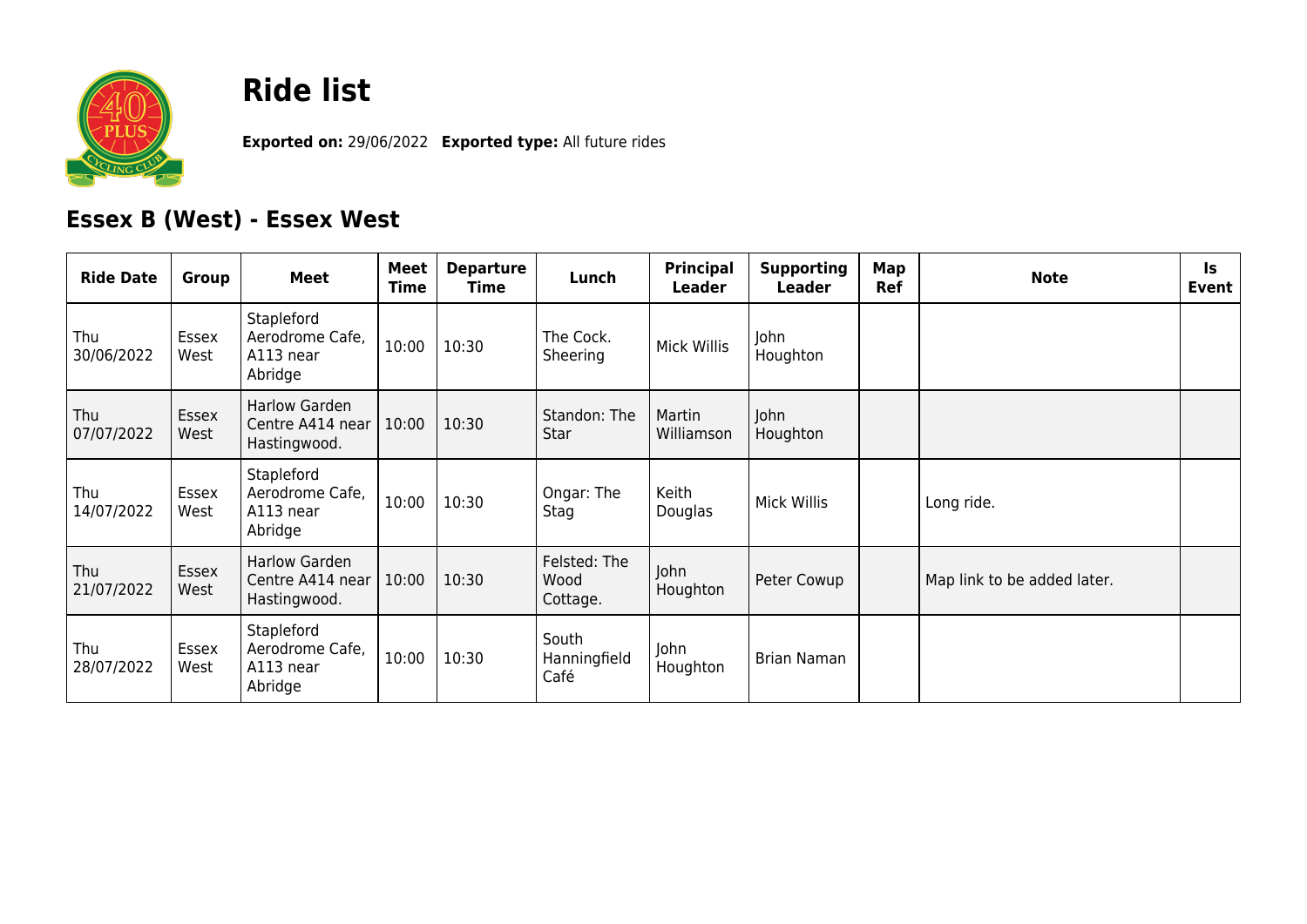

## **Ride list**

**Exported on:** 29/06/2022 **Exported type:** All future rides

## **Essex B (West) - Essex West**

| <b>Ride Date</b>  | Group         | <b>Meet</b>                                           | Meet<br>Time | <b>Departure</b><br>Time | Lunch                            | Principal<br>Leader  | <b>Supporting</b><br>Leader | Map<br>Ref | <b>Note</b>                 | ls.<br>Event |
|-------------------|---------------|-------------------------------------------------------|--------------|--------------------------|----------------------------------|----------------------|-----------------------------|------------|-----------------------------|--------------|
| Thu<br>30/06/2022 | Essex<br>West | Stapleford<br>Aerodrome Cafe,<br>A113 near<br>Abridge | 10:00        | 10:30                    | The Cock.<br>Sheering            | <b>Mick Willis</b>   | John<br>Houghton            |            |                             |              |
| Thu<br>07/07/2022 | Essex<br>West | Harlow Garden<br>Centre A414 near<br>Hastingwood.     | 10:00        | 10:30                    | Standon: The<br>Star             | Martin<br>Williamson | John<br>Houghton            |            |                             |              |
| Thu<br>14/07/2022 | Essex<br>West | Stapleford<br>Aerodrome Cafe,<br>A113 near<br>Abridge | 10:00        | 10:30                    | Ongar: The<br>Stag               | Keith<br>Douglas     | Mick Willis                 |            | Long ride.                  |              |
| Thu<br>21/07/2022 | Essex<br>West | Harlow Garden<br>Centre A414 near<br>Hastingwood.     | 10:00        | 10:30                    | Felsted: The<br>Wood<br>Cottage. | John<br>Houghton     | Peter Cowup                 |            | Map link to be added later. |              |
| Thu<br>28/07/2022 | Essex<br>West | Stapleford<br>Aerodrome Cafe,<br>A113 near<br>Abridge | 10:00        | 10:30                    | South<br>Hanningfield<br>Café    | John<br>Houghton     | Brian Naman                 |            |                             |              |